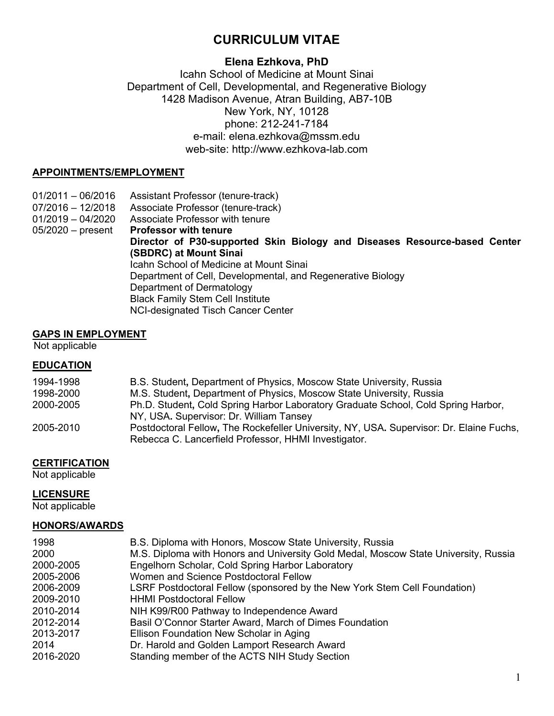# **CURRICULUM VITAE**

### **Elena Ezhkova, PhD**

### Icahn School of Medicine at Mount Sinai Department of Cell, Developmental, and Regenerative Biology 1428 Madison Avenue, Atran Building, AB7-10B New York, NY, 10128 phone: 212-241-7184 e-mail: elena.ezhkova@mssm.edu web-site: http://www.ezhkova-lab.com

#### **APPOINTMENTS/EMPLOYMENT**

01/2011 – 06/2016 Assistant Professor (tenure-track) 07/2016 – 12/2018 Associate Professor (tenure-track) 01/2019 – 04/2020 Associate Professor with tenure 05/2020 – present **Professor with tenure Director of P30-supported Skin Biology and Diseases Resource-based Center (SBDRC) at Mount Sinai** Icahn School of Medicine at Mount Sinai Department of Cell, Developmental, and Regenerative Biology Department of Dermatology Black Family Stem Cell Institute NCI-designated Tisch Cancer Center

#### **GAPS IN EMPLOYMENT**

Not applicable

#### **EDUCATION**

| 1994-1998 | B.S. Student, Department of Physics, Moscow State University, Russia                                                                            |
|-----------|-------------------------------------------------------------------------------------------------------------------------------------------------|
| 1998-2000 | M.S. Student, Department of Physics, Moscow State University, Russia                                                                            |
| 2000-2005 | Ph.D. Student, Cold Spring Harbor Laboratory Graduate School, Cold Spring Harbor,                                                               |
|           | NY, USA. Supervisor: Dr. William Tansey                                                                                                         |
| 2005-2010 | Postdoctoral Fellow, The Rockefeller University, NY, USA. Supervisor: Dr. Elaine Fuchs,<br>Rebecca C. Lancerfield Professor, HHMI Investigator. |

#### **CERTIFICATION**

Not applicable

#### **LICENSURE**

Not applicable

#### **HONORS/AWARDS**

| 1998      | B.S. Diploma with Honors, Moscow State University, Russia                           |
|-----------|-------------------------------------------------------------------------------------|
| 2000      | M.S. Diploma with Honors and University Gold Medal, Moscow State University, Russia |
| 2000-2005 | Engelhorn Scholar, Cold Spring Harbor Laboratory                                    |
| 2005-2006 | Women and Science Postdoctoral Fellow                                               |
| 2006-2009 | LSRF Postdoctoral Fellow (sponsored by the New York Stem Cell Foundation)           |
| 2009-2010 | <b>HHMI Postdoctoral Fellow</b>                                                     |
| 2010-2014 | NIH K99/R00 Pathway to Independence Award                                           |
| 2012-2014 | Basil O'Connor Starter Award, March of Dimes Foundation                             |
| 2013-2017 | Ellison Foundation New Scholar in Aging                                             |
| 2014      | Dr. Harold and Golden Lamport Research Award                                        |
| 2016-2020 | Standing member of the ACTS NIH Study Section                                       |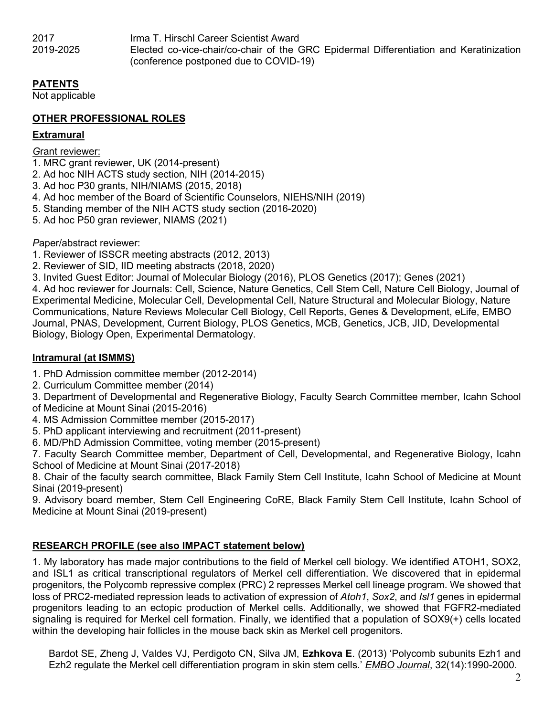2017 Irma T. Hirschl Career Scientist Award 2019-2025 Elected co-vice-chair/co-chair of the GRC Epidermal Differentiation and Keratinization (conference postponed due to COVID-19)

### **PATENTS**

Not applicable

### **OTHER PROFESSIONAL ROLES**

#### **Extramural**

#### *G*rant reviewer:

- 1. MRC grant reviewer, UK (2014-present)
- 2. Ad hoc NIH ACTS study section, NIH (2014-2015)
- 3. Ad hoc P30 grants, NIH/NIAMS (2015, 2018)
- 4. Ad hoc member of the Board of Scientific Counselors, NIEHS/NIH (2019)
- 5. Standing member of the NIH ACTS study section (2016-2020)
- 5. Ad hoc P50 gran reviewer, NIAMS (2021)

### *P*aper/abstract reviewer:

- 1. Reviewer of ISSCR meeting abstracts (2012, 2013)
- 2. Reviewer of SID, IID meeting abstracts (2018, 2020)
- 3. Invited Guest Editor: Journal of Molecular Biology (2016), PLOS Genetics (2017); Genes (2021)

4. Ad hoc reviewer for Journals: Cell, Science, Nature Genetics, Cell Stem Cell, Nature Cell Biology, Journal of Experimental Medicine, Molecular Cell, Developmental Cell, Nature Structural and Molecular Biology, Nature Communications, Nature Reviews Molecular Cell Biology, Cell Reports, Genes & Development, eLife, EMBO Journal, PNAS, Development, Current Biology, PLOS Genetics, MCB, Genetics, JCB, JID, Developmental Biology, Biology Open, Experimental Dermatology.

### **Intramural (at ISMMS)**

- 1. PhD Admission committee member (2012-2014)
- 2. Curriculum Committee member (2014)
- 3. Department of Developmental and Regenerative Biology, Faculty Search Committee member, Icahn School of Medicine at Mount Sinai (2015-2016)
- 4. MS Admission Committee member (2015-2017)
- 5. PhD applicant interviewing and recruitment (2011-present)
- 6. MD/PhD Admission Committee, voting member (2015-present)

7. Faculty Search Committee member, Department of Cell, Developmental, and Regenerative Biology, Icahn School of Medicine at Mount Sinai (2017-2018)

8. Chair of the faculty search committee, Black Family Stem Cell Institute, Icahn School of Medicine at Mount Sinai (2019-present)

9. Advisory board member, Stem Cell Engineering CoRE, Black Family Stem Cell Institute, Icahn School of Medicine at Mount Sinai (2019-present)

### **RESEARCH PROFILE (see also IMPACT statement below)**

1. My laboratory has made major contributions to the field of Merkel cell biology. We identified ATOH1, SOX2, and ISL1 as critical transcriptional regulators of Merkel cell differentiation. We discovered that in epidermal progenitors, the Polycomb repressive complex (PRC) 2 represses Merkel cell lineage program. We showed that loss of PRC2-mediated repression leads to activation of expression of *Atoh1*, *Sox2*, and *Isl1* genes in epidermal progenitors leading to an ectopic production of Merkel cells. Additionally, we showed that FGFR2-mediated signaling is required for Merkel cell formation. Finally, we identified that a population of SOX9(+) cells located within the developing hair follicles in the mouse back skin as Merkel cell progenitors.

Bardot SE, Zheng J, Valdes VJ, Perdigoto CN, Silva JM, **Ezhkova E**. (2013) 'Polycomb subunits Ezh1 and Ezh2 regulate the Merkel cell differentiation program in skin stem cells.' *EMBO Journal*, 32(14):1990-2000.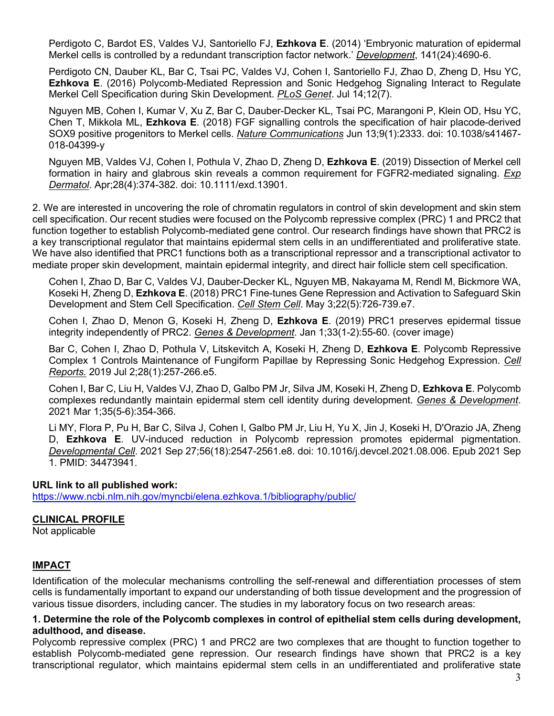Perdigoto C, Bardot ES, Valdes VJ, Santoriello FJ, **Ezhkova E**. (2014) 'Embryonic maturation of epidermal Merkel cells is controlled by a redundant transcription factor network.' *Development*, 141(24):4690-6.

Perdigoto CN, Dauber KL, Bar C, Tsai PC, Valdes VJ, Cohen I, Santoriello FJ, Zhao D, Zheng D, Hsu YC, **Ezhkova E**. (2016) Polycomb-Mediated Repression and Sonic Hedgehog Signaling Interact to Regulate Merkel Cell Specification during Skin Development. *PLoS Genet*. Jul 14;12(7).

Nguyen MB, Cohen I, Kumar V, Xu Z, Bar C, Dauber-Decker KL, Tsai PC, Marangoni P, Klein OD, Hsu YC, Chen T, Mikkola ML, **Ezhkova E**. (2018) FGF signalling controls the specification of hair placode-derived SOX9 positive progenitors to Merkel cells. *Nature Communications* Jun 13;9(1):2333. doi: 10.1038/s41467- 018-04399-y

Nguyen MB, Valdes VJ, Cohen I, Pothula V, Zhao D, Zheng D, **Ezhkova E**. (2019) Dissection of Merkel cell formation in hairy and glabrous skin reveals a common requirement for FGFR2-mediated signaling. *Exp Dermatol*. Apr;28(4):374-382. doi: 10.1111/exd.13901.

2. We are interested in uncovering the role of chromatin regulators in control of skin development and skin stem cell specification. Our recent studies were focused on the Polycomb repressive complex (PRC) 1 and PRC2 that function together to establish Polycomb-mediated gene control. Our research findings have shown that PRC2 is a key transcriptional regulator that maintains epidermal stem cells in an undifferentiated and proliferative state. We have also identified that PRC1 functions both as a transcriptional repressor and a transcriptional activator to mediate proper skin development, maintain epidermal integrity, and direct hair follicle stem cell specification.

Cohen I, Zhao D, Bar C, Valdes VJ, Dauber-Decker KL, Nguyen MB, Nakayama M, Rendl M, Bickmore WA, Koseki H, Zheng D, **Ezhkova E**. (2018) PRC1 Fine-tunes Gene Repression and Activation to Safeguard Skin Development and Stem Cell Specification. *Cell Stem Cell*. May 3;22(5):726-739.e7.

Cohen I, Zhao D, Menon G, Koseki H, Zheng D, **Ezhkova E**. (2019) PRC1 preserves epidermal tissue integrity independently of PRC2. *Genes & Development*. Jan 1;33(1-2):55-60. (cover image)

Bar C, Cohen I, Zhao D, Pothula V, Litskevitch A, Koseki H, Zheng D, **Ezhkova E**. Polycomb Repressive Complex 1 Controls Maintenance of Fungiform Papillae by Repressing Sonic Hedgehog Expression. *Cell Reports.* 2019 Jul 2;28(1):257-266.e5.

Cohen I, Bar C, Liu H, Valdes VJ, Zhao D, Galbo PM Jr, Silva JM, Koseki H, Zheng D, **Ezhkova E**. Polycomb complexes redundantly maintain epidermal stem cell identity during development. *Genes & Development*. 2021 Mar 1;35(5-6):354-366.

Li MY, Flora P, Pu H, Bar C, Silva J, Cohen I, Galbo PM Jr, Liu H, Yu X, Jin J, Koseki H, D'Orazio JA, Zheng D, **Ezhkova E**. UV-induced reduction in Polycomb repression promotes epidermal pigmentation. *Developmental Cell*. 2021 Sep 27;56(18):2547-2561.e8. doi: 10.1016/j.devcel.2021.08.006. Epub 2021 Sep 1. PMID: 34473941.

#### **URL link to all published work:**

https://www.ncbi.nlm.nih.gov/myncbi/elena.ezhkova.1/bibliography/public/

### **CLINICAL PROFILE**

Not applicable

#### **IMPACT**

Identification of the molecular mechanisms controlling the self-renewal and differentiation processes of stem cells is fundamentally important to expand our understanding of both tissue development and the progression of various tissue disorders, including cancer. The studies in my laboratory focus on two research areas:

#### **1. Determine the role of the Polycomb complexes in control of epithelial stem cells during development, adulthood, and disease.**

Polycomb repressive complex (PRC) 1 and PRC2 are two complexes that are thought to function together to establish Polycomb-mediated gene repression. Our research findings have shown that PRC2 is a key transcriptional regulator, which maintains epidermal stem cells in an undifferentiated and proliferative state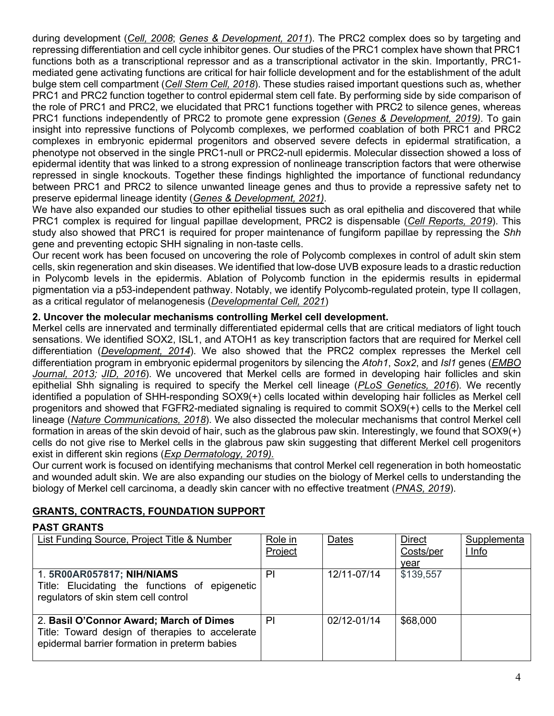during development (*Cell, 2008*; *Genes & Development, 2011*). The PRC2 complex does so by targeting and repressing differentiation and cell cycle inhibitor genes. Our studies of the PRC1 complex have shown that PRC1 functions both as a transcriptional repressor and as a transcriptional activator in the skin. Importantly, PRC1 mediated gene activating functions are critical for hair follicle development and for the establishment of the adult bulge stem cell compartment (*Cell Stem Cell, 2018*). These studies raised important questions such as, whether PRC1 and PRC2 function together to control epidermal stem cell fate. By performing side by side comparison of the role of PRC1 and PRC2, we elucidated that PRC1 functions together with PRC2 to silence genes, whereas PRC1 functions independently of PRC2 to promote gene expression (*Genes & Development, 2019)*. To gain insight into repressive functions of Polycomb complexes, we performed coablation of both PRC1 and PRC2 complexes in embryonic epidermal progenitors and observed severe defects in epidermal stratification, a phenotype not observed in the single PRC1-null or PRC2-null epidermis. Molecular dissection showed a loss of epidermal identity that was linked to a strong expression of nonlineage transcription factors that were otherwise repressed in single knockouts. Together these findings highlighted the importance of functional redundancy between PRC1 and PRC2 to silence unwanted lineage genes and thus to provide a repressive safety net to preserve epidermal lineage identity (*Genes & Development, 2021)*.

We have also expanded our studies to other epithelial tissues such as oral epithelia and discovered that while PRC1 complex is required for lingual papillae development, PRC2 is dispensable (*Cell Reports, 2019*). This study also showed that PRC1 is required for proper maintenance of fungiform papillae by repressing the *Shh* gene and preventing ectopic SHH signaling in non-taste cells.

Our recent work has been focused on uncovering the role of Polycomb complexes in control of adult skin stem cells, skin regeneration and skin diseases. We identified that low-dose UVB exposure leads to a drastic reduction in Polycomb levels in the epidermis. Ablation of Polycomb function in the epidermis results in epidermal pigmentation via a p53-independent pathway. Notably, we identify Polycomb-regulated protein, type II collagen, as a critical regulator of melanogenesis (*Developmental Cell, 2021*)

### **2. Uncover the molecular mechanisms controlling Merkel cell development.**

Merkel cells are innervated and terminally differentiated epidermal cells that are critical mediators of light touch sensations. We identified SOX2, ISL1, and ATOH1 as key transcription factors that are required for Merkel cell differentiation (*Development, 2014*). We also showed that the PRC2 complex represses the Merkel cell differentiation program in embryonic epidermal progenitors by silencing the *Atoh1*, *Sox2*, and *Isl1* genes (*EMBO Journal, 2013; JID, 2016*). We uncovered that Merkel cells are formed in developing hair follicles and skin epithelial Shh signaling is required to specify the Merkel cell lineage (*PLoS Genetics, 2016*). We recently identified a population of SHH-responding SOX9(+) cells located within developing hair follicles as Merkel cell progenitors and showed that FGFR2-mediated signaling is required to commit SOX9(+) cells to the Merkel cell lineage (*Nature Communications, 2018*). We also dissected the molecular mechanisms that control Merkel cell formation in areas of the skin devoid of hair, such as the glabrous paw skin. Interestingly, we found that SOX9(+) cells do not give rise to Merkel cells in the glabrous paw skin suggesting that different Merkel cell progenitors exist in different skin regions (*Exp Dermatology, 2019).*

Our current work is focused on identifying mechanisms that control Merkel cell regeneration in both homeostatic and wounded adult skin. We are also expanding our studies on the biology of Merkel cells to understanding the biology of Merkel cell carcinoma, a deadly skin cancer with no effective treatment (*PNAS, 2019*).

### **GRANTS, CONTRACTS, FOUNDATION SUPPORT**

#### **PAST GRANTS**

| List Funding Source, Project Title & Number                                                                                                 | Role in<br>Project | Dates       | <b>Direct</b><br>Costs/per<br>year | Supplementa<br><u>I Info</u> |
|---------------------------------------------------------------------------------------------------------------------------------------------|--------------------|-------------|------------------------------------|------------------------------|
| 1. 5R00AR057817; NIH/NIAMS<br>Title: Elucidating the functions of epigenetic<br>regulators of skin stem cell control                        | PI                 | 12/11-07/14 | \$139,557                          |                              |
| 2. Basil O'Connor Award; March of Dimes<br>Title: Toward design of therapies to accelerate<br>epidermal barrier formation in preterm babies | PI                 | 02/12-01/14 | \$68,000                           |                              |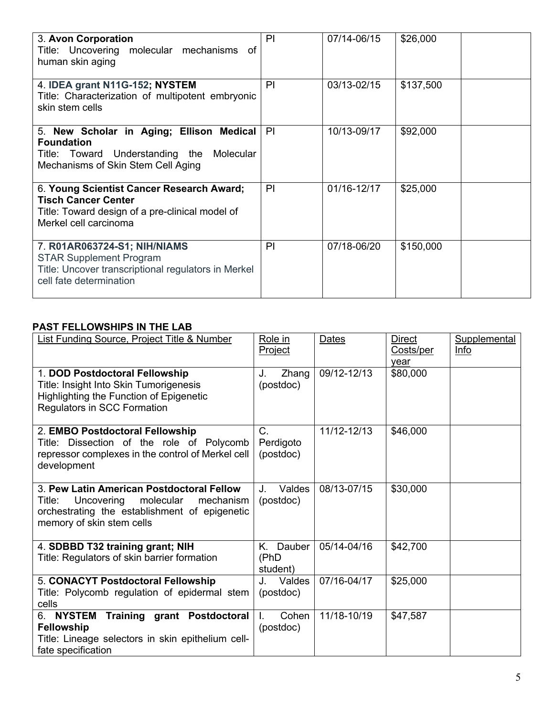| 3. Avon Corporation<br>Title: Uncovering molecular mechanisms of<br>human skin aging                                                                | PI | 07/14-06/15 | \$26,000  |
|-----------------------------------------------------------------------------------------------------------------------------------------------------|----|-------------|-----------|
| 4. IDEA grant N11G-152; NYSTEM<br>Title: Characterization of multipotent embryonic<br>skin stem cells                                               | PI | 03/13-02/15 | \$137,500 |
| 5. New Scholar in Aging; Ellison Medical<br><b>Foundation</b><br>Title: Toward Understanding the Molecular<br>Mechanisms of Skin Stem Cell Aging    | PI | 10/13-09/17 | \$92,000  |
| 6. Young Scientist Cancer Research Award;<br><b>Tisch Cancer Center</b><br>Title: Toward design of a pre-clinical model of<br>Merkel cell carcinoma | PI | 01/16-12/17 | \$25,000  |
| 7. R01AR063724-S1; NIH/NIAMS<br><b>STAR Supplement Program</b><br>Title: Uncover transcriptional regulators in Merkel<br>cell fate determination    | PI | 07/18-06/20 | \$150,000 |

### **PAST FELLOWSHIPS IN THE LAB**

| <b>List Funding Source, Project Title &amp; Number</b>                                                                                                                    | Role in<br>Project                | <b>Dates</b> | <b>Direct</b><br>Costs/per<br>vear | Supplemental<br>Info |
|---------------------------------------------------------------------------------------------------------------------------------------------------------------------------|-----------------------------------|--------------|------------------------------------|----------------------|
| 1. DOD Postdoctoral Fellowship<br>Title: Insight Into Skin Tumorigenesis<br><b>Highlighting the Function of Epigenetic</b><br>Regulators in SCC Formation                 | Zhang<br>J.<br>(postdoc)          | 09/12-12/13  | \$80,000                           |                      |
| 2. EMBO Postdoctoral Fellowship<br>Title: Dissection of the role of Polycomb<br>repressor complexes in the control of Merkel cell<br>development                          | $C_{1}$<br>Perdigoto<br>(postdoc) | 11/12-12/13  | \$46,000                           |                      |
| 3. Pew Latin American Postdoctoral Fellow<br>Title:<br>Uncovering<br>molecular<br>mechanism<br>orchestrating the establishment of epigenetic<br>memory of skin stem cells | Valdes<br>J.<br>(postdoc)         | 08/13-07/15  | \$30,000                           |                      |
| 4. SDBBD T32 training grant; NIH<br>Title: Regulators of skin barrier formation                                                                                           | K. Dauber<br>(PhD<br>student)     | 05/14-04/16  | \$42,700                           |                      |
| 5. CONACYT Postdoctoral Fellowship<br>Title: Polycomb regulation of epidermal stem<br>cells                                                                               | J. Valdes<br>(postdoc)            | 07/16-04/17  | \$25,000                           |                      |
| 6. NYSTEM Training grant Postdoctoral<br>Fellowship<br>Title: Lineage selectors in skin epithelium cell-<br>fate specification                                            | Cohen<br>(postdoc)                | 11/18-10/19  | \$47,587                           |                      |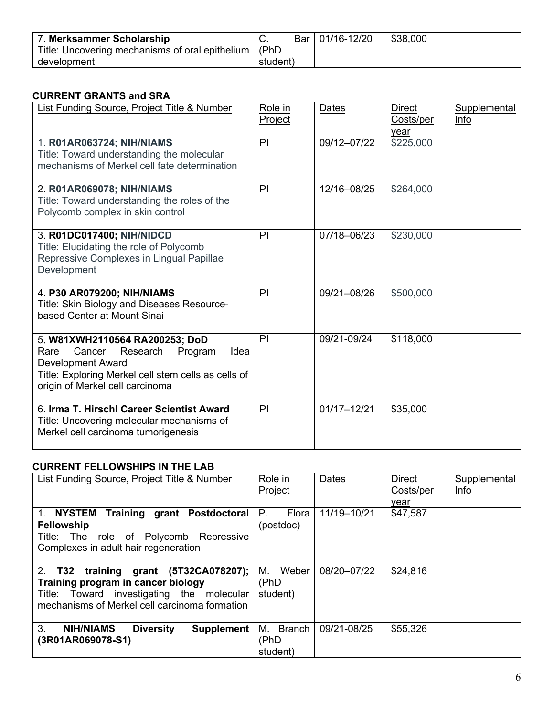| 7. Merksammer Scholarship                              |          | Bar   01/16-12/20 | \$38,000 |  |
|--------------------------------------------------------|----------|-------------------|----------|--|
| Title: Uncovering mechanisms of oral epithelium   (PhD |          |                   |          |  |
| development                                            | student) |                   |          |  |

### **CURRENT GRANTS and SRA**

| <b>List Funding Source, Project Title &amp; Number</b>                                                                                                                                                | Role in<br>Project | <b>Dates</b>    | <b>Direct</b><br>Costs/per<br>year | Supplemental<br>Info |
|-------------------------------------------------------------------------------------------------------------------------------------------------------------------------------------------------------|--------------------|-----------------|------------------------------------|----------------------|
| 1. R01AR063724; NIH/NIAMS<br>Title: Toward understanding the molecular<br>mechanisms of Merkel cell fate determination                                                                                | PI                 | 09/12-07/22     | \$225,000                          |                      |
| 2. R01AR069078; NIH/NIAMS<br>Title: Toward understanding the roles of the<br>Polycomb complex in skin control                                                                                         | PI                 | 12/16-08/25     | \$264,000                          |                      |
| 3. R01DC017400; NIH/NIDCD<br>Title: Elucidating the role of Polycomb<br>Repressive Complexes in Lingual Papillae<br>Development                                                                       | PI                 | 07/18-06/23     | \$230,000                          |                      |
| 4. P30 AR079200; NIH/NIAMS<br>Title: Skin Biology and Diseases Resource-<br>based Center at Mount Sinai                                                                                               | PI                 | 09/21-08/26     | \$500,000                          |                      |
| 5. W81XWH2110564 RA200253; DoD<br>Cancer<br>Research<br>Program<br>Rare<br>Idea<br><b>Development Award</b><br>Title: Exploring Merkel cell stem cells as cells of<br>origin of Merkel cell carcinoma | PI                 | 09/21-09/24     | \$118,000                          |                      |
| 6. Irma T. Hirschl Career Scientist Award<br>Title: Uncovering molecular mechanisms of<br>Merkel cell carcinoma tumorigenesis                                                                         | PI                 | $01/17 - 12/21$ | \$35,000                           |                      |

### **CURRENT FELLOWSHIPS IN THE LAB**

| List Funding Source, Project Title & Number                                                                                                                               | Role in<br>Project              | Dates       | <b>Direct</b><br>Costs/per<br>vear | Supplemental<br>Info |
|---------------------------------------------------------------------------------------------------------------------------------------------------------------------------|---------------------------------|-------------|------------------------------------|----------------------|
| <b>Training grant Postdoctoral</b><br>1. NYSTEM<br><b>Fellowship</b><br>Title: The role of Polycomb<br>Repressive<br>Complexes in adult hair regeneration                 | Р.<br>Flora<br>(postdoc)        | 11/19-10/21 | \$47,587                           |                      |
| 2. T32 training grant (5T32CA078207);<br>Training program in cancer biology<br>Title: Toward investigating the molecular<br>mechanisms of Merkel cell carcinoma formation | Weber<br>М.<br>(PhD<br>student) | 08/20-07/22 | \$24,816                           |                      |
| 3.<br><b>NIH/NIAMS</b><br><b>Diversity</b><br><b>Supplement</b><br>(3R01AR069078-S1)                                                                                      | M. Branch<br>(PhD<br>student)   | 09/21-08/25 | \$55,326                           |                      |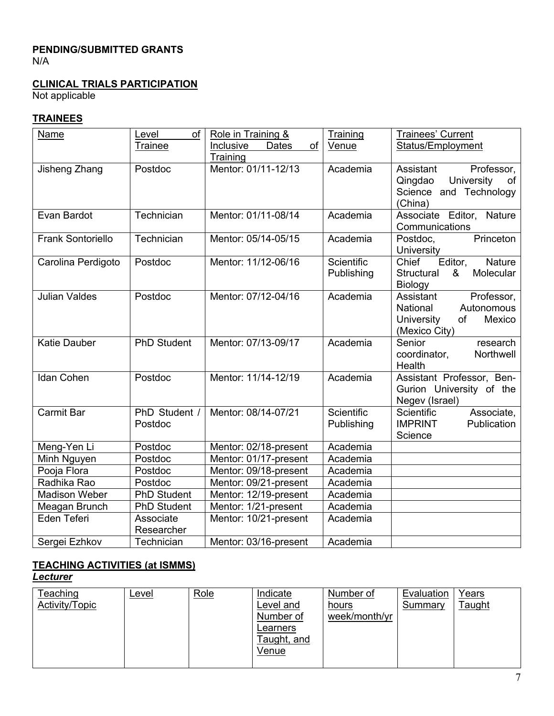#### **PENDING/SUBMITTED GRANTS** N/A

### **CLINICAL TRIALS PARTICIPATION**

Not applicable

#### **TRAINEES**

| Name                     | evel.<br>of        | Role in Training &              | Training   | <b>Trainees' Current</b>                    |
|--------------------------|--------------------|---------------------------------|------------|---------------------------------------------|
|                          | Trainee            | <b>Dates</b><br>Inclusive<br>of | Venue      | Status/Employment                           |
|                          |                    | Training                        |            |                                             |
| Jisheng Zhang            | Postdoc            | Mentor: 01/11-12/13             | Academia   | Professor,<br>Assistant                     |
|                          |                    |                                 |            | Qingdao<br>University<br>of                 |
|                          |                    |                                 |            | Science and Technology                      |
|                          |                    |                                 |            | (China)                                     |
| Evan Bardot              | Technician         | Mentor: 01/11-08/14             | Academia   | Associate Editor, Nature                    |
| <b>Frank Sontoriello</b> |                    | Mentor: 05/14-05/15             | Academia   | Communications                              |
|                          | Technician         |                                 |            | Princeton<br>Postdoc,<br>University         |
| Carolina Perdigoto       | Postdoc            | Mentor: 11/12-06/16             | Scientific | Chief<br>Editor,<br>Nature                  |
|                          |                    |                                 | Publishing | Structural<br>&<br>Molecular                |
|                          |                    |                                 |            | <b>Biology</b>                              |
| <b>Julian Valdes</b>     | Postdoc            | Mentor: 07/12-04/16             | Academia   | Professor,<br>Assistant                     |
|                          |                    |                                 |            | Autonomous<br>National                      |
|                          |                    |                                 |            | University<br><b>of</b><br>Mexico           |
|                          |                    |                                 |            | (Mexico City)                               |
| <b>Katie Dauber</b>      | <b>PhD Student</b> | Mentor: 07/13-09/17             | Academia   | Senior<br>research                          |
|                          |                    |                                 |            | Northwell<br>coordinator,                   |
|                          |                    |                                 |            | Health                                      |
| <b>Idan Cohen</b>        | Postdoc            | Mentor: 11/14-12/19             | Academia   | Assistant Professor, Ben-                   |
|                          |                    |                                 |            | Gurion University of the                    |
| <b>Carmit Bar</b>        | PhD Student /      | Mentor: 08/14-07/21             | Scientific | Negev (Israel)<br>Scientific                |
|                          | Postdoc            |                                 | Publishing | Associate,<br><b>IMPRINT</b><br>Publication |
|                          |                    |                                 |            | Science                                     |
| Meng-Yen Li              | Postdoc            | Mentor: 02/18-present           | Academia   |                                             |
| Minh Nguyen              | Postdoc            | Mentor: 01/17-present           | Academia   |                                             |
| Pooja Flora              | Postdoc            | Mentor: 09/18-present           | Academia   |                                             |
| Radhika Rao              | Postdoc            | Mentor: 09/21-present           | Academia   |                                             |
| <b>Madison Weber</b>     | <b>PhD Student</b> | Mentor: 12/19-present           | Academia   |                                             |
| Meagan Brunch            | <b>PhD Student</b> | Mentor: 1/21-present            | Academia   |                                             |
| Eden Teferi              | Associate          | Mentor: 10/21-present           | Academia   |                                             |
|                          | Researcher         |                                 |            |                                             |
| Sergei Ezhkov            | Technician         | Mentor: 03/16-present           | Academia   |                                             |

# **TEACHING ACTIVITIES (at ISMMS)**

*Lecturer*

| Teaching       | Level | Role | Indicate    | Number of     | Evaluation | Years  |
|----------------|-------|------|-------------|---------------|------------|--------|
| Activity/Topic |       |      | Level and   | hours         | Summary    | Taught |
|                |       |      | Number of   | week/month/yr |            |        |
|                |       |      | Learners    |               |            |        |
|                |       |      | Taught, and |               |            |        |
|                |       |      | Venue       |               |            |        |
|                |       |      |             |               |            |        |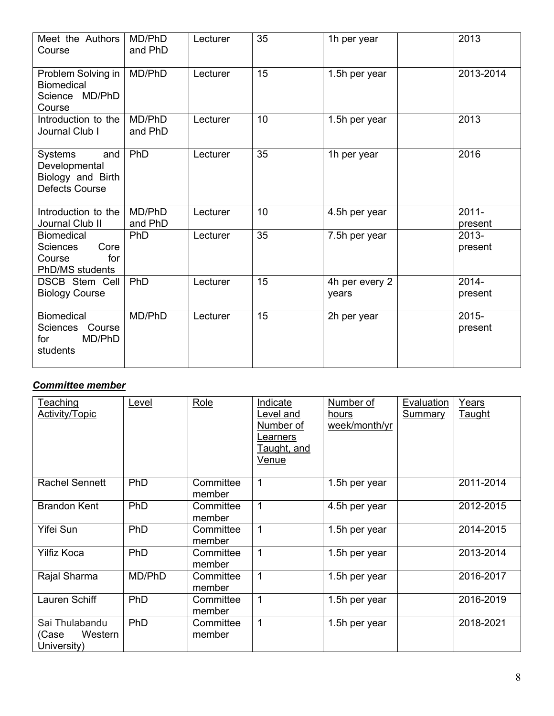| Meet the Authors<br>Course                                                       | MD/PhD<br>and PhD | Lecturer | 35 | 1h per year             | 2013                |
|----------------------------------------------------------------------------------|-------------------|----------|----|-------------------------|---------------------|
| Problem Solving in<br><b>Biomedical</b><br>Science MD/PhD<br>Course              | MD/PhD            | Lecturer | 15 | 1.5h per year           | 2013-2014           |
| Introduction to the<br>Journal Club I                                            | MD/PhD<br>and PhD | Lecturer | 10 | 1.5h per year           | 2013                |
| Systems<br>and<br>Developmental<br>Biology and Birth<br><b>Defects Course</b>    | PhD               | Lecturer | 35 | 1h per year             | 2016                |
| Introduction to the<br>Journal Club II                                           | MD/PhD<br>and PhD | Lecturer | 10 | 4.5h per year           | $2011 -$<br>present |
| <b>Biomedical</b><br>Core<br><b>Sciences</b><br>Course<br>for<br>PhD/MS students | PhD               | Lecturer | 35 | 7.5h per year           | $2013 -$<br>present |
| <b>DSCB Stem Cell</b><br><b>Biology Course</b>                                   | PhD               | Lecturer | 15 | 4h per every 2<br>years | $2014 -$<br>present |
| <b>Biomedical</b><br>Sciences Course<br>MD/PhD<br>for<br>students                | MD/PhD            | Lecturer | 15 | 2h per year             | $2015 -$<br>present |

# *Committee member*

| <b>Teaching</b><br><b>Activity/Topic</b>          | Level  | Role                | Indicate<br>Level and<br>Number of<br>Learners<br><u>Taught, and</u><br>Venue | Number of<br>hours<br>week/month/yr | Evaluation<br><b>Summary</b> | Years<br><b>Taught</b> |
|---------------------------------------------------|--------|---------------------|-------------------------------------------------------------------------------|-------------------------------------|------------------------------|------------------------|
| <b>Rachel Sennett</b>                             | PhD    | Committee<br>member | 1                                                                             | 1.5h per year                       |                              | 2011-2014              |
| <b>Brandon Kent</b>                               | PhD    | Committee<br>member | 1                                                                             | 4.5h per year                       |                              | 2012-2015              |
| Yifei Sun                                         | PhD    | Committee<br>member | $\mathbf{1}$                                                                  | 1.5h per year                       |                              | 2014-2015              |
| <b>Yilfiz Koca</b>                                | PhD    | Committee<br>member | $\mathbf 1$                                                                   | 1.5h per year                       |                              | 2013-2014              |
| Rajal Sharma                                      | MD/PhD | Committee<br>member | 1                                                                             | 1.5h per year                       |                              | 2016-2017              |
| Lauren Schiff                                     | PhD    | Committee<br>member | 1                                                                             | 1.5h per year                       |                              | 2016-2019              |
| Sai Thulabandu<br>Western<br>(Case<br>University) | PhD    | Committee<br>member | 1                                                                             | 1.5h per year                       |                              | 2018-2021              |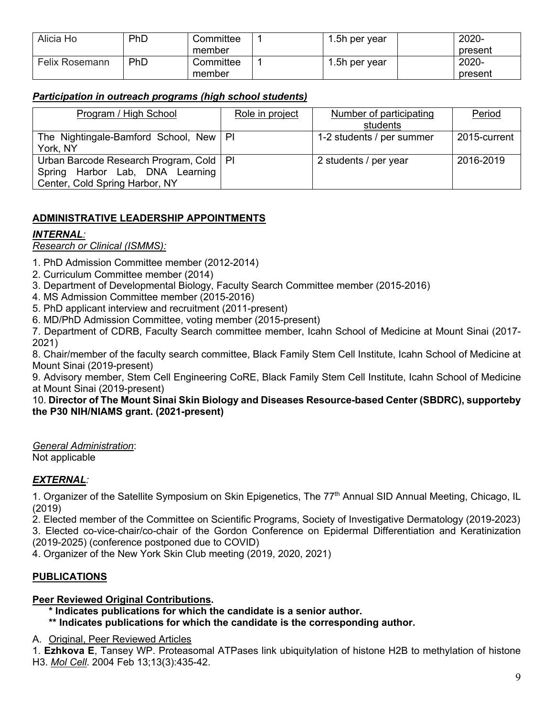| Alicia Ho             | PhD | Committee | 1.5h per year | 2020-   |
|-----------------------|-----|-----------|---------------|---------|
|                       |     | member    |               | present |
| <b>Felix Rosemann</b> | PhD | Committee | 1.5h per year | 2020-   |
|                       |     | member    |               | present |

### *Participation in outreach programs (high school students)*

| Program / High School                     | Role in project | Number of participating<br>students | Period       |
|-------------------------------------------|-----------------|-------------------------------------|--------------|
|                                           |                 |                                     |              |
| The Nightingale-Bamford School, New   PI  |                 | 1-2 students / per summer           | 2015-current |
| York, NY                                  |                 |                                     |              |
| Urban Barcode Research Program, Cold   PI |                 | 2 students / per year               | 2016-2019    |
| Spring Harbor Lab, DNA Learning           |                 |                                     |              |
|                                           |                 |                                     |              |
| Center, Cold Spring Harbor, NY            |                 |                                     |              |

# **ADMINISTRATIVE LEADERSHIP APPOINTMENTS**

### *INTERNAL:*

### *Research or Clinical (ISMMS):*

- 1. PhD Admission Committee member (2012-2014)
- 2. Curriculum Committee member (2014)
- 3. Department of Developmental Biology, Faculty Search Committee member (2015-2016)
- 4. MS Admission Committee member (2015-2016)
- 5. PhD applicant interview and recruitment (2011-present)
- 6. MD/PhD Admission Committee, voting member (2015-present)

7. Department of CDRB, Faculty Search committee member, Icahn School of Medicine at Mount Sinai (2017- 2021)

8. Chair/member of the faculty search committee, Black Family Stem Cell Institute, Icahn School of Medicine at Mount Sinai (2019-present)

9. Advisory member, Stem Cell Engineering CoRE, Black Family Stem Cell Institute, Icahn School of Medicine at Mount Sinai (2019-present)

#### 10. **Director of The Mount Sinai Skin Biology and Diseases Resource-based Center (SBDRC), supporteby the P30 NIH/NIAMS grant. (2021-present)**

*General Administration*: Not applicable

### *EXTERNAL:*

1. Organizer of the Satellite Symposium on Skin Epigenetics, The 77<sup>th</sup> Annual SID Annual Meeting, Chicago, IL (2019)

2. Elected member of the Committee on Scientific Programs, Society of Investigative Dermatology (2019-2023) 3. Elected co-vice-chair/co-chair of the Gordon Conference on Epidermal Differentiation and Keratinization (2019-2025) (conference postponed due to COVID)

4. Organizer of the New York Skin Club meeting (2019, 2020, 2021)

### **PUBLICATIONS**

#### **Peer Reviewed Original Contributions.**

- **\* Indicates publications for which the candidate is a senior author.**
- **\*\* Indicates publications for which the candidate is the corresponding author.**
- A. Original, Peer Reviewed Articles

1. **Ezhkova E**, Tansey WP. Proteasomal ATPases link ubiquitylation of histone H2B to methylation of histone H3. *Mol Cell*. 2004 Feb 13;13(3):435-42.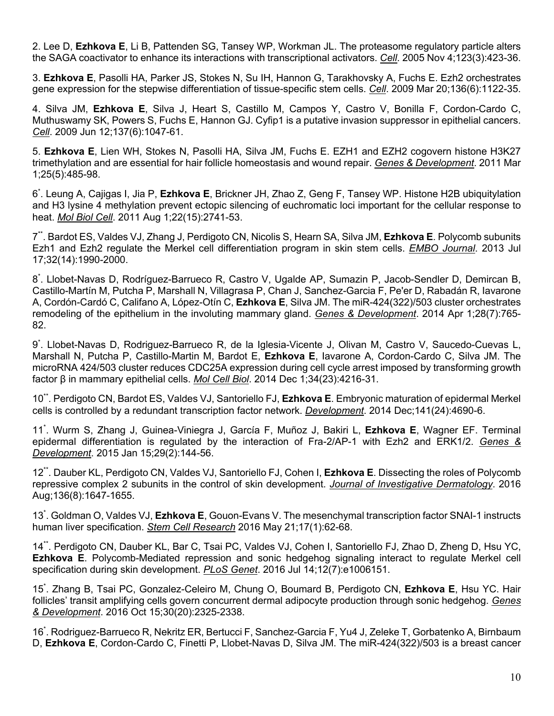2. Lee D, **Ezhkova E**, Li B, Pattenden SG, Tansey WP, Workman JL. The proteasome regulatory particle alters the SAGA coactivator to enhance its interactions with transcriptional activators. *Cell*. 2005 Nov 4;123(3):423-36.

3. **Ezhkova E**, Pasolli HA, Parker JS, Stokes N, Su IH, Hannon G, Tarakhovsky A, Fuchs E. Ezh2 orchestrates gene expression for the stepwise differentiation of tissue-specific stem cells. *Cell*. 2009 Mar 20;136(6):1122-35.

4. Silva JM, **Ezhkova E**, Silva J, Heart S, Castillo M, Campos Y, Castro V, Bonilla F, Cordon-Cardo C, Muthuswamy SK, Powers S, Fuchs E, Hannon GJ. Cyfip1 is a putative invasion suppressor in epithelial cancers. *Cell*. 2009 Jun 12;137(6):1047-61.

5. **Ezhkova E**, Lien WH, Stokes N, Pasolli HA, Silva JM, Fuchs E. EZH1 and EZH2 cogovern histone H3K27 trimethylation and are essential for hair follicle homeostasis and wound repair. *Genes & Development*. 2011 Mar 1;25(5):485-98.

6\* . Leung A, Cajigas I, Jia P, **Ezhkova E**, Brickner JH, Zhao Z, Geng F, Tansey WP. Histone H2B ubiquitylation and H3 lysine 4 methylation prevent ectopic silencing of euchromatic loci important for the cellular response to heat. *Mol Biol Cell*. 2011 Aug 1;22(15):2741-53.

7\*\*. Bardot ES, Valdes VJ, Zhang J, Perdigoto CN, Nicolis S, Hearn SA, Silva JM, **Ezhkova E**. Polycomb subunits Ezh1 and Ezh2 regulate the Merkel cell differentiation program in skin stem cells. *EMBO Journal*. 2013 Jul 17;32(14):1990-2000.

8\* . Llobet-Navas D, Rodríguez-Barrueco R, Castro V, Ugalde AP, Sumazin P, Jacob-Sendler D, Demircan B, Castillo-Martín M, Putcha P, Marshall N, Villagrasa P, Chan J, Sanchez-Garcia F, Pe'er D, Rabadán R, Iavarone A, Cordón-Cardó C, Califano A, López-Otín C, **Ezhkova E**, Silva JM. The miR-424(322)/503 cluster orchestrates remodeling of the epithelium in the involuting mammary gland. *Genes & Development*. 2014 Apr 1;28(7):765- 82.

9\* . Llobet-Navas D, Rodriguez-Barrueco R, de la Iglesia-Vicente J, Olivan M, Castro V, Saucedo-Cuevas L, Marshall N, Putcha P, Castillo-Martin M, Bardot E, **Ezhkova E**, Iavarone A, Cordon-Cardo C, Silva JM. The microRNA 424/503 cluster reduces CDC25A expression during cell cycle arrest imposed by transforming growth factor β in mammary epithelial cells. *Mol Cell Biol*. 2014 Dec 1;34(23):4216-31.

10\*\*. Perdigoto CN, Bardot ES, Valdes VJ, Santoriello FJ, **Ezhkova E**. Embryonic maturation of epidermal Merkel cells is controlled by a redundant transcription factor network. *Development*. 2014 Dec;141(24):4690-6.

11\* . Wurm S, Zhang J, Guinea-Viniegra J, García F, Muñoz J, Bakiri L, **Ezhkova E**, Wagner EF. Terminal epidermal differentiation is regulated by the interaction of Fra-2/AP-1 with Ezh2 and ERK1/2. *Genes & Development*. 2015 Jan 15;29(2):144-56.

12\*\*. Dauber KL, Perdigoto CN, Valdes VJ, Santoriello FJ, Cohen I, **Ezhkova E**. Dissecting the roles of Polycomb repressive complex 2 subunits in the control of skin development. *Journal of Investigative Dermatology*. 2016 Aug;136(8):1647-1655.

13\* . Goldman O, Valdes VJ, **Ezhkova E**, Gouon-Evans V. The mesenchymal transcription factor SNAI-1 instructs human liver specification. *Stem Cell Research* 2016 May 21;17(1):62-68.

14\*\*. Perdigoto CN, Dauber KL, Bar C, Tsai PC, Valdes VJ, Cohen I, Santoriello FJ, Zhao D, Zheng D, Hsu YC, **Ezhkova E**. Polycomb-Mediated repression and sonic hedgehog signaling interact to regulate Merkel cell specification during skin development. *PLoS Genet*. 2016 Jul 14;12(7):e1006151.

15\* . Zhang B, Tsai PC, Gonzalez-Celeiro M, Chung O, Boumard B, Perdigoto CN, **Ezhkova E**, Hsu YC. Hair follicles' transit amplifying cells govern concurrent dermal adipocyte production through sonic hedgehog. *Genes & Development*. 2016 Oct 15;30(20):2325-2338.

16\* . Rodriguez-Barrueco R, Nekritz ER, Bertucci F, Sanchez-Garcia F, Yu4 J, Zeleke T, Gorbatenko A, Birnbaum D, **Ezhkova E**, Cordon-Cardo C, Finetti P, Llobet-Navas D, Silva JM. The miR-424(322)/503 is a breast cancer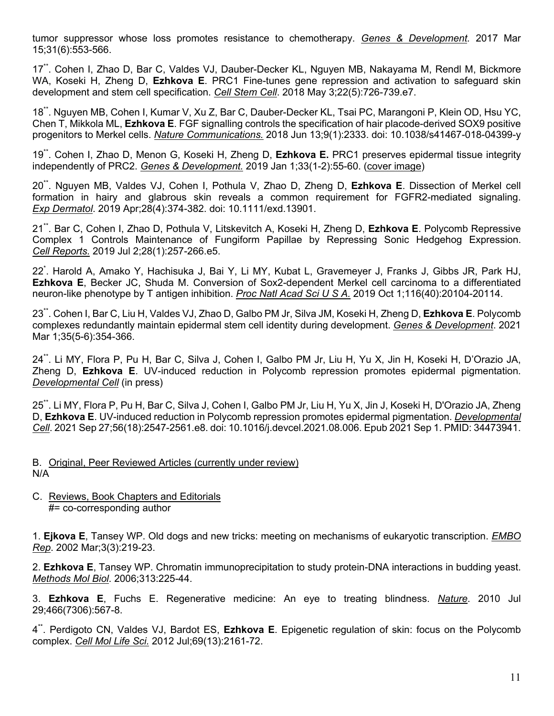tumor suppressor whose loss promotes resistance to chemotherapy. *Genes & Development.* 2017 Mar 15;31(6):553-566.

17\*\*. Cohen I, Zhao D, Bar C, Valdes VJ, Dauber-Decker KL, Nguyen MB, Nakayama M, Rendl M, Bickmore WA, Koseki H, Zheng D, **Ezhkova E**. PRC1 Fine-tunes gene repression and activation to safeguard skin development and stem cell specification. *Cell Stem Cell*. 2018 May 3;22(5):726-739.e7.

18\*\*. Nguyen MB, Cohen I, Kumar V, Xu Z, Bar C, Dauber-Decker KL, Tsai PC, Marangoni P, Klein OD, Hsu YC, Chen T, Mikkola ML, **Ezhkova E**. FGF signalling controls the specification of hair placode-derived SOX9 positive progenitors to Merkel cells. *Nature Communications.* 2018 Jun 13;9(1):2333. doi: 10.1038/s41467-018-04399-y

19\*\*. Cohen I, Zhao D, Menon G, Koseki H, Zheng D, **Ezhkova E.** PRC1 preserves epidermal tissue integrity independently of PRC2. *Genes & Development.* 2019 Jan 1;33(1-2):55-60. (cover image)

20\*\*. Nguyen MB, Valdes VJ, Cohen I, Pothula V, Zhao D, Zheng D, **Ezhkova E**. Dissection of Merkel cell formation in hairy and glabrous skin reveals a common requirement for FGFR2-mediated signaling. *Exp Dermatol*. 2019 Apr;28(4):374-382. doi: 10.1111/exd.13901.

21\*\*. Bar C, Cohen I, Zhao D, Pothula V, Litskevitch A, Koseki H, Zheng D, **Ezhkova E**. Polycomb Repressive Complex 1 Controls Maintenance of Fungiform Papillae by Repressing Sonic Hedgehog Expression. *Cell Reports.* 2019 Jul 2;28(1):257-266.e5.

22\* . Harold A, Amako Y, Hachisuka J, Bai Y, Li MY, Kubat L, Gravemeyer J, Franks J, Gibbs JR, Park HJ, **Ezhkova E**, Becker JC, Shuda M. Conversion of Sox2-dependent Merkel cell carcinoma to a differentiated neuron-like phenotype by T antigen inhibition. *Proc Natl Acad Sci U S A.* 2019 Oct 1;116(40):20104-20114.

23\*\*. Cohen I, Bar C, Liu H, Valdes VJ, Zhao D, Galbo PM Jr, Silva JM, Koseki H, Zheng D, **Ezhkova E**. Polycomb complexes redundantly maintain epidermal stem cell identity during development. *Genes & Development*. 2021 Mar 1;35(5-6):354-366.

24\*\*. Li MY, Flora P, Pu H, Bar C, Silva J, Cohen I, Galbo PM Jr, Liu H, Yu X, Jin H, Koseki H, D'Orazio JA, Zheng D, **Ezhkova E**. UV-induced reduction in Polycomb repression promotes epidermal pigmentation. *Developmental Cell* (in press)

25\*\*. Li MY, Flora P, Pu H, Bar C, Silva J, Cohen I, Galbo PM Jr, Liu H, Yu X, Jin J, Koseki H, D'Orazio JA, Zheng D, **Ezhkova E**. UV-induced reduction in Polycomb repression promotes epidermal pigmentation. *Developmental Cell*. 2021 Sep 27;56(18):2547-2561.e8. doi: 10.1016/j.devcel.2021.08.006. Epub 2021 Sep 1. PMID: 34473941.

#### B. Original, Peer Reviewed Articles (currently under review) N/A

C. Reviews, Book Chapters and Editorials #= co-corresponding author

1. **Ejkova E**, Tansey WP. Old dogs and new tricks: meeting on mechanisms of eukaryotic transcription. *EMBO Rep*. 2002 Mar;3(3):219-23.

2. **Ezhkova E**, Tansey WP. Chromatin immunoprecipitation to study protein-DNA interactions in budding yeast. *Methods Mol Biol*. 2006;313:225-44.

3. **Ezhkova E**, Fuchs E. Regenerative medicine: An eye to treating blindness. *Nature*. 2010 Jul 29;466(7306):567-8.

4\*\*. Perdigoto CN, Valdes VJ, Bardot ES, **Ezhkova E**. Epigenetic regulation of skin: focus on the Polycomb complex. *Cell Mol Life Sci.* 2012 Jul;69(13):2161-72.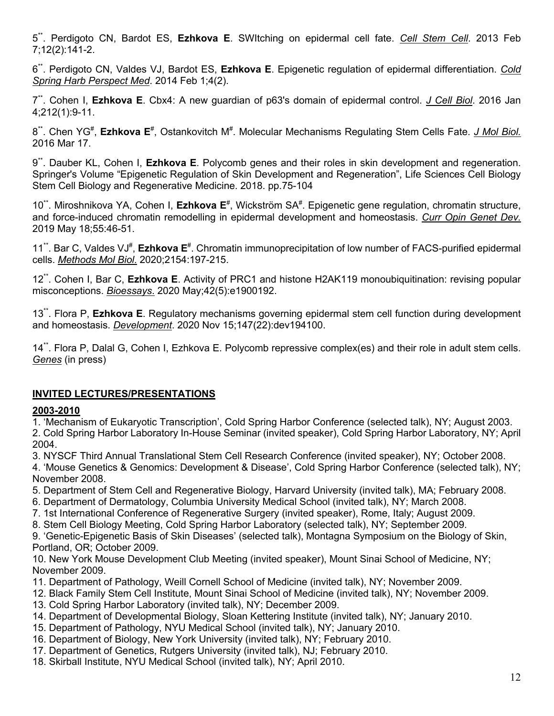5\*\*. Perdigoto CN, Bardot ES, **Ezhkova E**. SWItching on epidermal cell fate. *Cell Stem Cell*. 2013 Feb 7;12(2):141-2.

6\*\*. Perdigoto CN, Valdes VJ, Bardot ES, **Ezhkova E**. Epigenetic regulation of epidermal differentiation. *Cold Spring Harb Perspect Med*. 2014 Feb 1;4(2).

7\*\*. Cohen I, **Ezhkova E**. Cbx4: A new guardian of p63's domain of epidermal control. *J Cell Biol*. 2016 Jan 4;212(1):9-11.

8<sup>\*\*</sup>. Chen YG<sup>#</sup>, Ezhkova E<sup>#</sup>, Ostankovitch M<sup>#</sup>. Molecular Mechanisms Regulating Stem Cells Fate. *J Mol Biol.* 2016 Mar 17.

9\*\*. Dauber KL, Cohen I, **Ezhkova E**. Polycomb genes and their roles in skin development and regeneration. Springer's Volume "Epigenetic Regulation of Skin Development and Regeneration", Life Sciences Cell Biology Stem Cell Biology and Regenerative Medicine. 2018. pp.75-104

10<sup>\*\*</sup>. Miroshnikova YA, Cohen I, **Ezhkova E**<sup>#</sup>, Wickström SA<sup>#</sup>. Epigenetic gene regulation, chromatin structure, and force-induced chromatin remodelling in epidermal development and homeostasis. *Curr Opin Genet Dev.* 2019 May 18;55:46-51.

11<sup>\*\*</sup>. Bar C, Valdes VJ<sup>#</sup>, Ezhkova E<sup>#</sup>. Chromatin immunoprecipitation of low number of FACS-purified epidermal cells. *Methods Mol Biol*. 2020;2154:197-215.

12\*\*. Cohen I, Bar C, **Ezhkova E**. Activity of PRC1 and histone H2AK119 monoubiquitination: revising popular misconceptions. *Bioessays*. 2020 May;42(5):e1900192.

13\*\*. Flora P, **Ezhkova E**. Regulatory mechanisms governing epidermal stem cell function during development and homeostasis. *Development*. 2020 Nov 15;147(22):dev194100.

14\*\*. Flora P, Dalal G, Cohen I, Ezhkova E. Polycomb repressive complex(es) and their role in adult stem cells. *Genes* (in press)

### **INVITED LECTURES/PRESENTATIONS**

### **2003-2010**

1. 'Mechanism of Eukaryotic Transcription', Cold Spring Harbor Conference (selected talk), NY; August 2003. 2. Cold Spring Harbor Laboratory In-House Seminar (invited speaker), Cold Spring Harbor Laboratory, NY; April 2004.

3. NYSCF Third Annual Translational Stem Cell Research Conference (invited speaker), NY; October 2008.

4. 'Mouse Genetics & Genomics: Development & Disease', Cold Spring Harbor Conference (selected talk), NY; November 2008.

5. Department of Stem Cell and Regenerative Biology, Harvard University (invited talk), MA; February 2008.

- 6. Department of Dermatology, Columbia University Medical School (invited talk), NY; March 2008.
- 7. 1st International Conference of Regenerative Surgery (invited speaker), Rome, Italy; August 2009.
- 8. Stem Cell Biology Meeting, Cold Spring Harbor Laboratory (selected talk), NY; September 2009.

9. 'Genetic-Epigenetic Basis of Skin Diseases' (selected talk), Montagna Symposium on the Biology of Skin, Portland, OR; October 2009.

10. New York Mouse Development Club Meeting (invited speaker), Mount Sinai School of Medicine, NY; November 2009.

- 11. Department of Pathology, Weill Cornell School of Medicine (invited talk), NY; November 2009.
- 12. Black Family Stem Cell Institute, Mount Sinai School of Medicine (invited talk), NY; November 2009.
- 13. Cold Spring Harbor Laboratory (invited talk), NY; December 2009.
- 14. Department of Developmental Biology, Sloan Kettering Institute (invited talk), NY; January 2010.
- 15. Department of Pathology, NYU Medical School (invited talk), NY; January 2010.
- 16. Department of Biology, New York University (invited talk), NY; February 2010.
- 17. Department of Genetics, Rutgers University (invited talk), NJ; February 2010.
- 18. Skirball Institute, NYU Medical School (invited talk), NY; April 2010.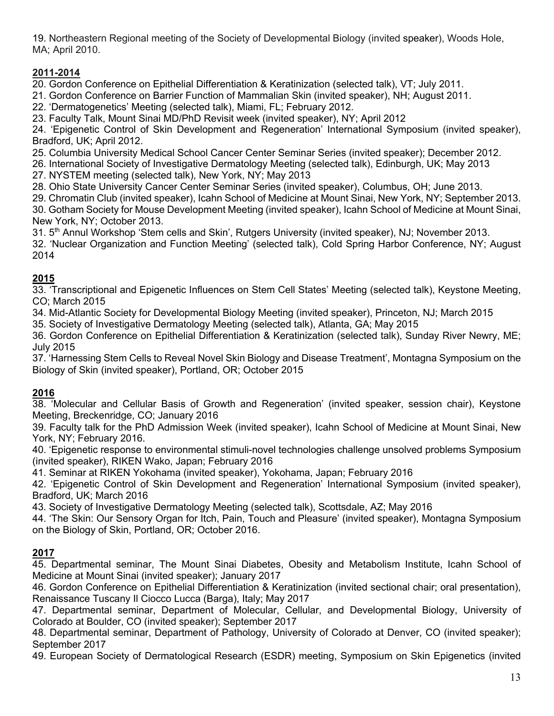19. Northeastern Regional meeting of the Society of Developmental Biology (invited speaker), Woods Hole, MA; April 2010.

# **2011-2014**

20. Gordon Conference on Epithelial Differentiation & Keratinization (selected talk), VT; July 2011.

21. Gordon Conference on Barrier Function of Mammalian Skin (invited speaker), NH; August 2011.

22. 'Dermatogenetics' Meeting (selected talk), Miami, FL; February 2012.

23. Faculty Talk, Mount Sinai MD/PhD Revisit week (invited speaker), NY; April 2012

24. 'Epigenetic Control of Skin Development and Regeneration' International Symposium (invited speaker), Bradford, UK; April 2012.

25. Columbia University Medical School Cancer Center Seminar Series (invited speaker); December 2012.

26. International Society of Investigative Dermatology Meeting (selected talk), Edinburgh, UK; May 2013

27. NYSTEM meeting (selected talk), New York, NY; May 2013

28. Ohio State University Cancer Center Seminar Series (invited speaker), Columbus, OH; June 2013.

29. Chromatin Club (invited speaker), Icahn School of Medicine at Mount Sinai, New York, NY; September 2013.

30. Gotham Society for Mouse Development Meeting (invited speaker), Icahn School of Medicine at Mount Sinai, New York, NY; October 2013.

31. 5<sup>th</sup> Annul Workshop 'Stem cells and Skin', Rutgers University (invited speaker), NJ; November 2013.

32. 'Nuclear Organization and Function Meeting' (selected talk), Cold Spring Harbor Conference, NY; August 2014

# **2015**

33. 'Transcriptional and Epigenetic Influences on Stem Cell States' Meeting (selected talk), Keystone Meeting, CO; March 2015

34. Mid-Atlantic Society for Developmental Biology Meeting (invited speaker), Princeton, NJ; March 2015

35. Society of Investigative Dermatology Meeting (selected talk), Atlanta, GA; May 2015

36. Gordon Conference on Epithelial Differentiation & Keratinization (selected talk), Sunday River Newry, ME; July 2015

37. 'Harnessing Stem Cells to Reveal Novel Skin Biology and Disease Treatment', Montagna Symposium on the Biology of Skin (invited speaker), Portland, OR; October 2015

# **2016**

38. 'Molecular and Cellular Basis of Growth and Regeneration' (invited speaker, session chair), Keystone Meeting, Breckenridge, CO; January 2016

39. Faculty talk for the PhD Admission Week (invited speaker), Icahn School of Medicine at Mount Sinai, New York, NY; February 2016.

40. 'Epigenetic response to environmental stimuli-novel technologies challenge unsolved problems Symposium (invited speaker), RIKEN Wako, Japan; February 2016

41. Seminar at RIKEN Yokohama (invited speaker), Yokohama, Japan; February 2016

42. 'Epigenetic Control of Skin Development and Regeneration' International Symposium (invited speaker), Bradford, UK; March 2016

43. Society of Investigative Dermatology Meeting (selected talk), Scottsdale, AZ; May 2016

44. 'The Skin: Our Sensory Organ for Itch, Pain, Touch and Pleasure' (invited speaker), Montagna Symposium on the Biology of Skin, Portland, OR; October 2016.

# **2017**

45. Departmental seminar, The Mount Sinai Diabetes, Obesity and Metabolism Institute, Icahn School of Medicine at Mount Sinai (invited speaker); January 2017

46. Gordon Conference on Epithelial Differentiation & Keratinization (invited sectional chair; oral presentation), Renaissance Tuscany Il Ciocco Lucca (Barga), Italy; May 2017

47. Departmental seminar, Department of Molecular, Cellular, and Developmental Biology, University of Colorado at Boulder, CO (invited speaker); September 2017

48. Departmental seminar, Department of Pathology, University of Colorado at Denver, CO (invited speaker); September 2017

49. European Society of Dermatological Research (ESDR) meeting, Symposium on Skin Epigenetics (invited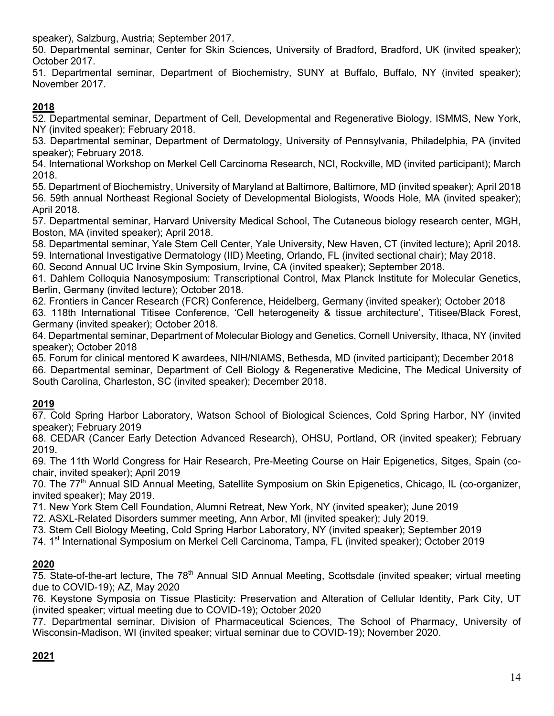speaker), Salzburg, Austria; September 2017.

50. Departmental seminar, Center for Skin Sciences, University of Bradford, Bradford, UK (invited speaker); October 2017.

51. Departmental seminar, Department of Biochemistry, SUNY at Buffalo, Buffalo, NY (invited speaker); November 2017.

### **2018**

52. Departmental seminar, Department of Cell, Developmental and Regenerative Biology, ISMMS, New York, NY (invited speaker); February 2018.

53. Departmental seminar, Department of Dermatology, University of Pennsylvania, Philadelphia, PA (invited speaker); February 2018.

54. International Workshop on Merkel Cell Carcinoma Research, NCI, Rockville, MD (invited participant); March 2018.

55. Department of Biochemistry, University of Maryland at Baltimore, Baltimore, MD (invited speaker); April 2018 56. 59th annual Northeast Regional Society of Developmental Biologists, Woods Hole, MA (invited speaker); April 2018.

57. Departmental seminar, Harvard University Medical School, The Cutaneous biology research center, MGH, Boston, MA (invited speaker); April 2018.

58. Departmental seminar, Yale Stem Cell Center, Yale University, New Haven, CT (invited lecture); April 2018.

59. International Investigative Dermatology (IID) Meeting, Orlando, FL (invited sectional chair); May 2018.

60. Second Annual UC Irvine Skin Symposium, Irvine, CA (invited speaker); September 2018.

61. Dahlem Colloquia Nanosymposium: Transcriptional Control, Max Planck Institute for Molecular Genetics, Berlin, Germany (invited lecture); October 2018.

62. Frontiers in Cancer Research (FCR) Conference, Heidelberg, Germany (invited speaker); October 2018 63. 118th International Titisee Conference, 'Cell heterogeneity & tissue architecture', Titisee/Black Forest, Germany (invited speaker); October 2018.

64. Departmental seminar, Department of Molecular Biology and Genetics, Cornell University, Ithaca, NY (invited speaker); October 2018

65. Forum for clinical mentored K awardees, NIH/NIAMS, Bethesda, MD (invited participant); December 2018 66. Departmental seminar, Department of Cell Biology & Regenerative Medicine, The Medical University of South Carolina, Charleston, SC (invited speaker); December 2018.

### **2019**

67. Cold Spring Harbor Laboratory, Watson School of Biological Sciences, Cold Spring Harbor, NY (invited speaker); February 2019

68. CEDAR (Cancer Early Detection Advanced Research), OHSU, Portland, OR (invited speaker); February 2019.

69. The 11th World Congress for Hair Research, Pre-Meeting Course on Hair Epigenetics, Sitges, Spain (cochair, invited speaker); April 2019

70. The 77<sup>th</sup> Annual SID Annual Meeting, Satellite Symposium on Skin Epigenetics, Chicago, IL (co-organizer, invited speaker); May 2019.

71. New York Stem Cell Foundation, Alumni Retreat, New York, NY (invited speaker); June 2019

72. ASXL-Related Disorders summer meeting, Ann Arbor, MI (invited speaker); July 2019.

73. Stem Cell Biology Meeting, Cold Spring Harbor Laboratory, NY (invited speaker); September 2019

74. 1<sup>st</sup> International Symposium on Merkel Cell Carcinoma, Tampa, FL (invited speaker); October 2019

### **2020**

 $75.$  State-of-the-art lecture, The  $78<sup>th</sup>$  Annual SID Annual Meeting, Scottsdale (invited speaker; virtual meeting due to COVID-19); AZ, May 2020

76. Keystone Symposia on Tissue Plasticity: Preservation and Alteration of Cellular Identity, Park City, UT (invited speaker; virtual meeting due to COVID-19); October 2020

77. Departmental seminar, Division of Pharmaceutical Sciences, The School of Pharmacy, University of Wisconsin-Madison, WI (invited speaker; virtual seminar due to COVID-19); November 2020.